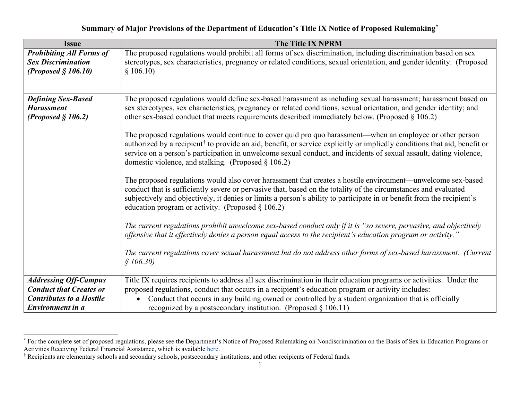## <span id="page-0-1"></span><span id="page-0-0"></span>**Summary of Major Provisions of the Department of Education's Title IX Notice of Proposed Rulemakin[g\\*](#page-0-0)**

| <b>Issue</b>                                       | <b>The Title IX NPRM</b>                                                                                                                                                                                                                                                                                                                                                                                                            |
|----------------------------------------------------|-------------------------------------------------------------------------------------------------------------------------------------------------------------------------------------------------------------------------------------------------------------------------------------------------------------------------------------------------------------------------------------------------------------------------------------|
| <b>Prohibiting All Forms of</b>                    | The proposed regulations would prohibit all forms of sex discrimination, including discrimination based on sex                                                                                                                                                                                                                                                                                                                      |
| <b>Sex Discrimination</b><br>(Proposed $$106.10$ ) | stereotypes, sex characteristics, pregnancy or related conditions, sexual orientation, and gender identity. (Proposed<br>\$106.10)                                                                                                                                                                                                                                                                                                  |
|                                                    |                                                                                                                                                                                                                                                                                                                                                                                                                                     |
| <b>Defining Sex-Based</b>                          | The proposed regulations would define sex-based harassment as including sexual harassment; harassment based on                                                                                                                                                                                                                                                                                                                      |
| <b>Harassment</b><br>(Proposed $\S$ 106.2)         | sex stereotypes, sex characteristics, pregnancy or related conditions, sexual orientation, and gender identity; and<br>other sex-based conduct that meets requirements described immediately below. (Proposed § 106.2)                                                                                                                                                                                                              |
|                                                    | The proposed regulations would continue to cover quid pro quo harassment—when an employee or other person<br>authorized by a recipient <sup>†</sup> to provide an aid, benefit, or service explicitly or impliedly conditions that aid, benefit or<br>service on a person's participation in unwelcome sexual conduct, and incidents of sexual assault, dating violence,<br>domestic violence, and stalking. (Proposed $\S 106.2$ ) |
|                                                    | The proposed regulations would also cover harassment that creates a hostile environment—unwelcome sex-based<br>conduct that is sufficiently severe or pervasive that, based on the totality of the circumstances and evaluated<br>subjectively and objectively, it denies or limits a person's ability to participate in or benefit from the recipient's<br>education program or activity. (Proposed $\S 106.2$ )                   |
|                                                    | The current regulations prohibit unwelcome sex-based conduct only if it is "so severe, pervasive, and objectively<br>offensive that it effectively denies a person equal access to the recipient's education program or activity."                                                                                                                                                                                                  |
|                                                    | The current regulations cover sexual harassment but do not address other forms of sex-based harassment. (Current<br>\$106.30)                                                                                                                                                                                                                                                                                                       |
| <b>Addressing Off-Campus</b>                       | Title IX requires recipients to address all sex discrimination in their education programs or activities. Under the                                                                                                                                                                                                                                                                                                                 |
| <b>Conduct that Creates or</b>                     | proposed regulations, conduct that occurs in a recipient's education program or activity includes:                                                                                                                                                                                                                                                                                                                                  |
| <b>Contributes to a Hostile</b>                    | Conduct that occurs in any building owned or controlled by a student organization that is officially                                                                                                                                                                                                                                                                                                                                |
| Environment in a                                   | recognized by a postsecondary institution. (Proposed $\S 106.11$ )                                                                                                                                                                                                                                                                                                                                                                  |

<sup>\*</sup> For the complete set of proposed regulations, please see the Department's Notice of Proposed Rulemaking on Nondiscrimination on the Basis of Sex in Education Programs or Activities Receiving Federal Financial Assistance, which is available [here.](https://www2.ed.gov/about/offices/list/ocr/docs/t9nprm.pdf)

<sup>†</sup> Recipients are elementary schools and secondary schools, postsecondary institutions, and other recipients of Federal funds.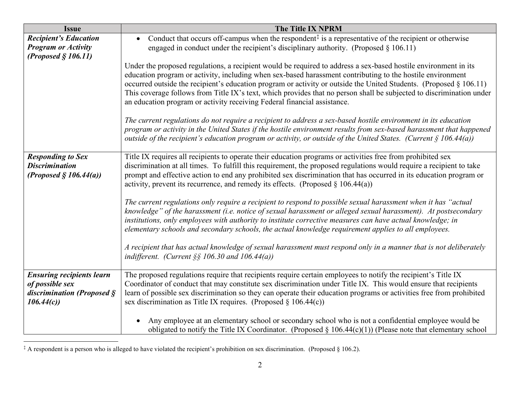<span id="page-1-0"></span>

| <b>Issue</b>                                                                                           | <b>The Title IX NPRM</b>                                                                                                                                                                                                                                                                                                                                                                                                                                                                                                                                |
|--------------------------------------------------------------------------------------------------------|---------------------------------------------------------------------------------------------------------------------------------------------------------------------------------------------------------------------------------------------------------------------------------------------------------------------------------------------------------------------------------------------------------------------------------------------------------------------------------------------------------------------------------------------------------|
| <b>Recipient's Education</b><br><b>Program or Activity</b><br>(Proposed $$106.11$ )                    | Conduct that occurs off-campus when the respondent $\ddagger$ is a representative of the recipient or otherwise<br>engaged in conduct under the recipient's disciplinary authority. (Proposed $\S$ 106.11)                                                                                                                                                                                                                                                                                                                                              |
|                                                                                                        | Under the proposed regulations, a recipient would be required to address a sex-based hostile environment in its<br>education program or activity, including when sex-based harassment contributing to the hostile environment<br>occurred outside the recipient's education program or activity or outside the United Students. (Proposed § 106.11)<br>This coverage follows from Title IX's text, which provides that no person shall be subjected to discrimination under<br>an education program or activity receiving Federal financial assistance. |
|                                                                                                        | The current regulations do not require a recipient to address a sex-based hostile environment in its education<br>program or activity in the United States if the hostile environment results from sex-based harassment that happened<br>outside of the recipient's education program or activity, or outside of the United States. (Current $\S$ 106.44(a))                                                                                                                                                                                            |
| <b>Responding to Sex</b><br><b>Discrimination</b><br>(Proposed $\S 106.44(a)$ )                        | Title IX requires all recipients to operate their education programs or activities free from prohibited sex<br>discrimination at all times. To fulfill this requirement, the proposed regulations would require a recipient to take<br>prompt and effective action to end any prohibited sex discrimination that has occurred in its education program or<br>activity, prevent its recurrence, and remedy its effects. (Proposed $\S 106.44(a)$ )                                                                                                       |
|                                                                                                        | The current regulations only require a recipient to respond to possible sexual harassment when it has "actual<br>knowledge" of the harassment (i.e. notice of sexual harassment or alleged sexual harassment). At postsecondary<br>institutions, only employees with authority to institute corrective measures can have actual knowledge; in<br>elementary schools and secondary schools, the actual knowledge requirement applies to all employees.                                                                                                   |
|                                                                                                        | A recipient that has actual knowledge of sexual harassment must respond only in a manner that is not deliberately<br>indifferent. (Current $\S$ § 106.30 and 106.44(a))                                                                                                                                                                                                                                                                                                                                                                                 |
| <b>Ensuring recipients learn</b><br>of possible sex<br>discrimination (Proposed $\hat{S}$<br>106.44(c) | The proposed regulations require that recipients require certain employees to notify the recipient's Title IX<br>Coordinator of conduct that may constitute sex discrimination under Title IX. This would ensure that recipients<br>learn of possible sex discrimination so they can operate their education programs or activities free from prohibited<br>sex discrimination as Title IX requires. (Proposed $\S$ 106.44(c))                                                                                                                          |
|                                                                                                        | Any employee at an elementary school or secondary school who is not a confidential employee would be<br>obligated to notify the Title IX Coordinator. (Proposed $\S 106.44(c)(1)$ ) (Please note that elementary school                                                                                                                                                                                                                                                                                                                                 |

<sup>‡</sup> A respondent is a person who is alleged to have violated the recipient's prohibition on sex discrimination.(Proposed § 106.2).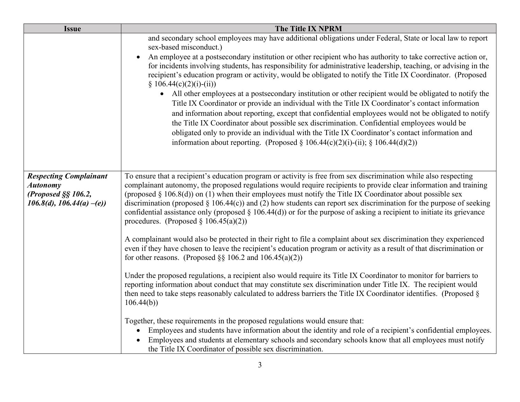| <b>Issue</b>                                                                                               | The Title IX NPRM                                                                                                                                                                                                                                                                                                                                                                                                                                                                                                                                                                                                                                         |
|------------------------------------------------------------------------------------------------------------|-----------------------------------------------------------------------------------------------------------------------------------------------------------------------------------------------------------------------------------------------------------------------------------------------------------------------------------------------------------------------------------------------------------------------------------------------------------------------------------------------------------------------------------------------------------------------------------------------------------------------------------------------------------|
|                                                                                                            | and secondary school employees may have additional obligations under Federal, State or local law to report<br>sex-based misconduct.)                                                                                                                                                                                                                                                                                                                                                                                                                                                                                                                      |
|                                                                                                            | An employee at a postsecondary institution or other recipient who has authority to take corrective action or,<br>$\bullet$<br>for incidents involving students, has responsibility for administrative leadership, teaching, or advising in the<br>recipient's education program or activity, would be obligated to notify the Title IX Coordinator. (Proposed<br>$\S$ 106.44(c)(2)(i)-(ii))                                                                                                                                                                                                                                                               |
|                                                                                                            | • All other employees at a postsecondary institution or other recipient would be obligated to notify the<br>Title IX Coordinator or provide an individual with the Title IX Coordinator's contact information<br>and information about reporting, except that confidential employees would not be obligated to notify<br>the Title IX Coordinator about possible sex discrimination. Confidential employees would be<br>obligated only to provide an individual with the Title IX Coordinator's contact information and<br>information about reporting. (Proposed § 106.44(c)(2)(i)-(ii); § 106.44(d)(2))                                                 |
|                                                                                                            |                                                                                                                                                                                                                                                                                                                                                                                                                                                                                                                                                                                                                                                           |
| <b>Respecting Complainant</b><br><b>Autonomy</b><br>(Proposed $\S$ § 106.2,<br>$106.8(d), 106.44(a) - (e)$ | To ensure that a recipient's education program or activity is free from sex discrimination while also respecting<br>complainant autonomy, the proposed regulations would require recipients to provide clear information and training<br>(proposed $\S$ 106.8(d)) on (1) when their employees must notify the Title IX Coordinator about possible sex<br>discrimination (proposed $\S$ 106.44(c)) and (2) how students can report sex discrimination for the purpose of seeking<br>confidential assistance only (proposed $\S$ 106.44(d)) or for the purpose of asking a recipient to initiate its grievance<br>procedures. (Proposed $\S 106.45(a)(2)$ ) |
|                                                                                                            | A complainant would also be protected in their right to file a complaint about sex discrimination they experienced<br>even if they have chosen to leave the recipient's education program or activity as a result of that discrimination or<br>for other reasons. (Proposed §§ 106.2 and 106.45(a)(2))                                                                                                                                                                                                                                                                                                                                                    |
|                                                                                                            | Under the proposed regulations, a recipient also would require its Title IX Coordinator to monitor for barriers to<br>reporting information about conduct that may constitute sex discrimination under Title IX. The recipient would<br>then need to take steps reasonably calculated to address barriers the Title IX Coordinator identifies. (Proposed §<br>106.44(b)                                                                                                                                                                                                                                                                                   |
|                                                                                                            | Together, these requirements in the proposed regulations would ensure that:<br>Employees and students have information about the identity and role of a recipient's confidential employees.<br>Employees and students at elementary schools and secondary schools know that all employees must notify<br>the Title IX Coordinator of possible sex discrimination.                                                                                                                                                                                                                                                                                         |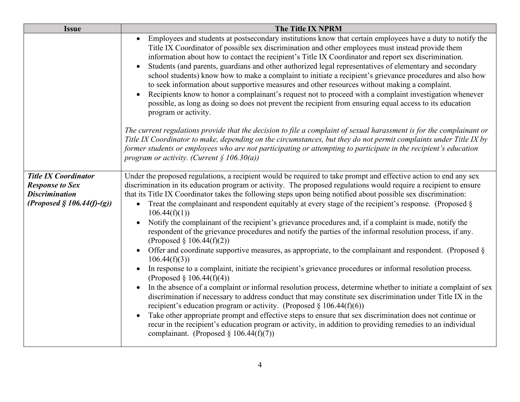| <b>Issue</b>                                                                                                     | <b>The Title IX NPRM</b>                                                                                                                                                                                                                                                                                                                                                                                                                                                                                                                                                                                                                                                                                                                                                                                                                                                                                                                                                                                                                                                                                                                                                                                                                                                                                                                                                                                                                                                                                                                                                                                                                        |
|------------------------------------------------------------------------------------------------------------------|-------------------------------------------------------------------------------------------------------------------------------------------------------------------------------------------------------------------------------------------------------------------------------------------------------------------------------------------------------------------------------------------------------------------------------------------------------------------------------------------------------------------------------------------------------------------------------------------------------------------------------------------------------------------------------------------------------------------------------------------------------------------------------------------------------------------------------------------------------------------------------------------------------------------------------------------------------------------------------------------------------------------------------------------------------------------------------------------------------------------------------------------------------------------------------------------------------------------------------------------------------------------------------------------------------------------------------------------------------------------------------------------------------------------------------------------------------------------------------------------------------------------------------------------------------------------------------------------------------------------------------------------------|
|                                                                                                                  | Employees and students at postsecondary institutions know that certain employees have a duty to notify the<br>$\bullet$<br>Title IX Coordinator of possible sex discrimination and other employees must instead provide them<br>information about how to contact the recipient's Title IX Coordinator and report sex discrimination.<br>Students (and parents, guardians and other authorized legal representatives of elementary and secondary<br>school students) know how to make a complaint to initiate a recipient's grievance procedures and also how<br>to seek information about supportive measures and other resources without making a complaint.<br>Recipients know to honor a complainant's request not to proceed with a complaint investigation whenever<br>$\bullet$<br>possible, as long as doing so does not prevent the recipient from ensuring equal access to its education<br>program or activity.                                                                                                                                                                                                                                                                                                                                                                                                                                                                                                                                                                                                                                                                                                                       |
|                                                                                                                  | The current regulations provide that the decision to file a complaint of sexual harassment is for the complainant or<br>Title IX Coordinator to make, depending on the circumstances, but they do not permit complaints under Title IX by<br>former students or employees who are not participating or attempting to participate in the recipient's education<br>program or activity. (Current $\S$ 106.30(a))                                                                                                                                                                                                                                                                                                                                                                                                                                                                                                                                                                                                                                                                                                                                                                                                                                                                                                                                                                                                                                                                                                                                                                                                                                  |
| <b>Title IX Coordinator</b><br><b>Response to Sex</b><br><b>Discrimination</b><br>(Proposed $\S 106.44(f)-(g)$ ) | Under the proposed regulations, a recipient would be required to take prompt and effective action to end any sex<br>discrimination in its education program or activity. The proposed regulations would require a recipient to ensure<br>that its Title IX Coordinator takes the following steps upon being notified about possible sex discrimination:<br>• Treat the complainant and respondent equitably at every stage of the recipient's response. (Proposed $\S$<br>106.44(f)(1)<br>Notify the complainant of the recipient's grievance procedures and, if a complaint is made, notify the<br>respondent of the grievance procedures and notify the parties of the informal resolution process, if any.<br>(Proposed § 106.44(f)(2))<br>Offer and coordinate supportive measures, as appropriate, to the complainant and respondent. (Proposed $\S$<br>$\bullet$<br>106.44(f)(3)<br>In response to a complaint, initiate the recipient's grievance procedures or informal resolution process.<br>$\bullet$<br>(Proposed $\S 106.44(f)(4)$ )<br>In the absence of a complaint or informal resolution process, determine whether to initiate a complaint of sex<br>$\bullet$<br>discrimination if necessary to address conduct that may constitute sex discrimination under Title IX in the<br>recipient's education program or activity. (Proposed $\S 106.44(f)(6)$ )<br>Take other appropriate prompt and effective steps to ensure that sex discrimination does not continue or<br>recur in the recipient's education program or activity, in addition to providing remedies to an individual<br>complainant. (Proposed § 106.44(f)(7)) |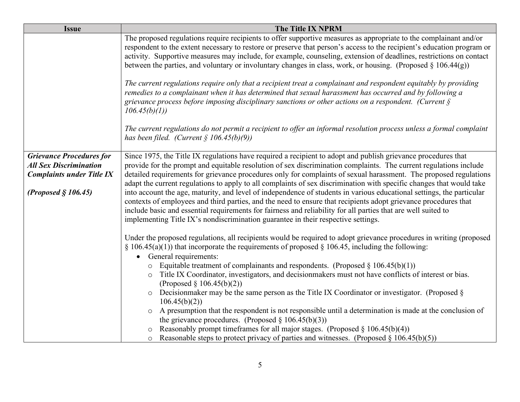| <b>Issue</b>                     | The Title IX NPRM                                                                                                                                                                                                                                                                                                                                                                                                                                                                      |
|----------------------------------|----------------------------------------------------------------------------------------------------------------------------------------------------------------------------------------------------------------------------------------------------------------------------------------------------------------------------------------------------------------------------------------------------------------------------------------------------------------------------------------|
|                                  | The proposed regulations require recipients to offer supportive measures as appropriate to the complainant and/or<br>respondent to the extent necessary to restore or preserve that person's access to the recipient's education program or<br>activity. Supportive measures may include, for example, counseling, extension of deadlines, restrictions on contact<br>between the parties, and voluntary or involuntary changes in class, work, or housing. (Proposed $\S 106.44(g)$ ) |
|                                  | The current regulations require only that a recipient treat a complainant and respondent equitably by providing<br>remedies to a complainant when it has determined that sexual harassment has occurred and by following a<br>grievance process before imposing disciplinary sanctions or other actions on a respondent. (Current $\S$<br>106.45(b)(1)                                                                                                                                 |
|                                  | The current regulations do not permit a recipient to offer an informal resolution process unless a formal complaint<br>has been filed. (Current $\S$ 106.45(b)(9))                                                                                                                                                                                                                                                                                                                     |
| <b>Grievance Procedures for</b>  | Since 1975, the Title IX regulations have required a recipient to adopt and publish grievance procedures that                                                                                                                                                                                                                                                                                                                                                                          |
| <b>All Sex Discrimination</b>    | provide for the prompt and equitable resolution of sex discrimination complaints. The current regulations include                                                                                                                                                                                                                                                                                                                                                                      |
| <b>Complaints under Title IX</b> | detailed requirements for grievance procedures only for complaints of sexual harassment. The proposed regulations<br>adapt the current regulations to apply to all complaints of sex discrimination with specific changes that would take                                                                                                                                                                                                                                              |
| (Proposed $§$ 106.45)            | into account the age, maturity, and level of independence of students in various educational settings, the particular<br>contexts of employees and third parties, and the need to ensure that recipients adopt grievance procedures that<br>include basic and essential requirements for fairness and reliability for all parties that are well suited to<br>implementing Title IX's nondiscrimination guarantee in their respective settings.                                         |
|                                  | Under the proposed regulations, all recipients would be required to adopt grievance procedures in writing (proposed<br>$\S$ 106.45(a)(1)) that incorporate the requirements of proposed $\S$ 106.45, including the following:<br>General requirements:<br>$\bullet$                                                                                                                                                                                                                    |
|                                  | Equitable treatment of complainants and respondents. (Proposed $\S 106.45(b)(1)$ )                                                                                                                                                                                                                                                                                                                                                                                                     |
|                                  | Title IX Coordinator, investigators, and decisionmakers must not have conflicts of interest or bias.<br>$\circ$                                                                                                                                                                                                                                                                                                                                                                        |
|                                  | (Proposed $\S 106.45(b)(2)$ )                                                                                                                                                                                                                                                                                                                                                                                                                                                          |
|                                  | Decision maker may be the same person as the Title IX Coordinator or investigator. (Proposed $\S$<br>$\circ$<br>106.45(b)(2)                                                                                                                                                                                                                                                                                                                                                           |
|                                  | A presumption that the respondent is not responsible until a determination is made at the conclusion of<br>$\circ$<br>the grievance procedures. (Proposed $\S 106.45(b)(3)$ )                                                                                                                                                                                                                                                                                                          |
|                                  | Reasonably prompt timeframes for all major stages. (Proposed $\S 106.45(b)(4)$ )                                                                                                                                                                                                                                                                                                                                                                                                       |
|                                  | Reasonable steps to protect privacy of parties and witnesses. (Proposed $\S 106.45(b)(5)$ )<br>$\circ$                                                                                                                                                                                                                                                                                                                                                                                 |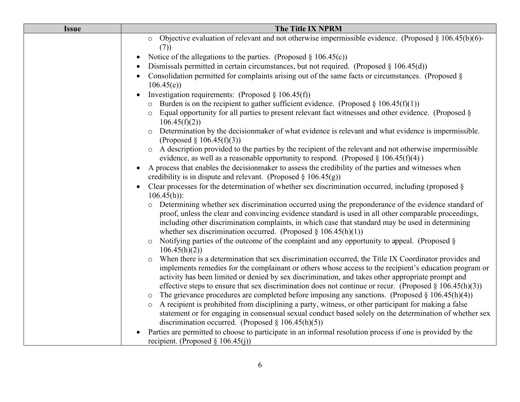| <b>Issue</b> | The Title IX NPRM                                                                                                                                                                                                                                                                                                                                                                                                                   |
|--------------|-------------------------------------------------------------------------------------------------------------------------------------------------------------------------------------------------------------------------------------------------------------------------------------------------------------------------------------------------------------------------------------------------------------------------------------|
|              | Objective evaluation of relevant and not otherwise impermissible evidence. (Proposed $\S 106.45(b)(6)$ -<br>$\circ$<br>(7)                                                                                                                                                                                                                                                                                                          |
|              | Notice of the allegations to the parties. (Proposed $\S 106.45(c)$ )<br>$\bullet$                                                                                                                                                                                                                                                                                                                                                   |
|              | Dismissals permitted in certain circumstances, but not required. (Proposed $\S 106.45(d)$ )                                                                                                                                                                                                                                                                                                                                         |
|              | Consolidation permitted for complaints arising out of the same facts or circumstances. (Proposed §<br>106.45(e)                                                                                                                                                                                                                                                                                                                     |
|              | Investigation requirements: (Proposed $\S$ 106.45(f))                                                                                                                                                                                                                                                                                                                                                                               |
|              | Burden is on the recipient to gather sufficient evidence. (Proposed $\S 106.45(f)(1)$ )                                                                                                                                                                                                                                                                                                                                             |
|              | Equal opportunity for all parties to present relevant fact witnesses and other evidence. (Proposed §<br>106.45(f)(2)                                                                                                                                                                                                                                                                                                                |
|              | Determination by the decisionmaker of what evidence is relevant and what evidence is impermissible.<br>$\circ$<br>(Proposed $\S 106.45(f)(3)$ )                                                                                                                                                                                                                                                                                     |
|              | A description provided to the parties by the recipient of the relevant and not otherwise impermissible<br>$\circ$                                                                                                                                                                                                                                                                                                                   |
|              | evidence, as well as a reasonable opportunity to respond. (Proposed $\S 106.45(f)(4)$ )                                                                                                                                                                                                                                                                                                                                             |
|              | A process that enables the decision maker to assess the credibility of the parties and witnesses when<br>$\bullet$<br>credibility is in dispute and relevant. (Proposed $\S$ 106.45(g))                                                                                                                                                                                                                                             |
|              | Clear processes for the determination of whether sex discrimination occurred, including (proposed $\S$<br>$106.45(h)$ :                                                                                                                                                                                                                                                                                                             |
|              | o Determining whether sex discrimination occurred using the preponderance of the evidence standard of<br>proof, unless the clear and convincing evidence standard is used in all other comparable proceedings,<br>including other discrimination complaints, in which case that standard may be used in determining<br>whether sex discrimination occurred. (Proposed $\S 106.45(h)(1)$ )                                           |
|              | Notifying parties of the outcome of the complaint and any opportunity to appeal. (Proposed §<br>$\circ$<br>106.45(h)(2)                                                                                                                                                                                                                                                                                                             |
|              | When there is a determination that sex discrimination occurred, the Title IX Coordinator provides and<br>implements remedies for the complainant or others whose access to the recipient's education program or<br>activity has been limited or denied by sex discrimination, and takes other appropriate prompt and<br>effective steps to ensure that sex discrimination does not continue or recur. (Proposed $\S 106.45(h)(3)$ ) |
|              | The grievance procedures are completed before imposing any sanctions. (Proposed $\S 106.45(h)(4)$ )<br>$\circ$                                                                                                                                                                                                                                                                                                                      |
|              | A recipient is prohibited from disciplining a party, witness, or other participant for making a false                                                                                                                                                                                                                                                                                                                               |
|              | statement or for engaging in consensual sexual conduct based solely on the determination of whether sex<br>discrimination occurred. (Proposed $\S 106.45(h)(5)$ )                                                                                                                                                                                                                                                                   |
|              | Parties are permitted to choose to participate in an informal resolution process if one is provided by the                                                                                                                                                                                                                                                                                                                          |
|              | recipient. (Proposed $\S$ 106.45(j))                                                                                                                                                                                                                                                                                                                                                                                                |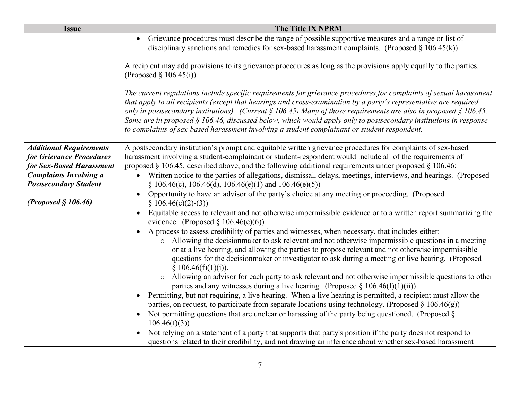| <b>Issue</b>                                                                                                                                                                     | The Title IX NPRM                                                                                                                                                                                                                                                                                                                                                                                                                                                                                                                                                                                                                                                                                                                                                                                                                                                                                                                                                                                                                                                                                                                                                                                                                                                                                                                                                                                                                                                                                                                                                                                                                                                                      |
|----------------------------------------------------------------------------------------------------------------------------------------------------------------------------------|----------------------------------------------------------------------------------------------------------------------------------------------------------------------------------------------------------------------------------------------------------------------------------------------------------------------------------------------------------------------------------------------------------------------------------------------------------------------------------------------------------------------------------------------------------------------------------------------------------------------------------------------------------------------------------------------------------------------------------------------------------------------------------------------------------------------------------------------------------------------------------------------------------------------------------------------------------------------------------------------------------------------------------------------------------------------------------------------------------------------------------------------------------------------------------------------------------------------------------------------------------------------------------------------------------------------------------------------------------------------------------------------------------------------------------------------------------------------------------------------------------------------------------------------------------------------------------------------------------------------------------------------------------------------------------------|
|                                                                                                                                                                                  | Grievance procedures must describe the range of possible supportive measures and a range or list of<br>$\bullet$<br>disciplinary sanctions and remedies for sex-based harassment complaints. (Proposed $\S 106.45(k)$ )                                                                                                                                                                                                                                                                                                                                                                                                                                                                                                                                                                                                                                                                                                                                                                                                                                                                                                                                                                                                                                                                                                                                                                                                                                                                                                                                                                                                                                                                |
|                                                                                                                                                                                  | A recipient may add provisions to its grievance procedures as long as the provisions apply equally to the parties.<br>(Proposed $\S$ 106.45(i))                                                                                                                                                                                                                                                                                                                                                                                                                                                                                                                                                                                                                                                                                                                                                                                                                                                                                                                                                                                                                                                                                                                                                                                                                                                                                                                                                                                                                                                                                                                                        |
|                                                                                                                                                                                  | The current regulations include specific requirements for grievance procedures for complaints of sexual harassment<br>that apply to all recipients (except that hearings and cross-examination by a party's representative are required<br>only in postsecondary institutions). (Current § 106.45) Many of those requirements are also in proposed § 106.45.<br>Some are in proposed $\S$ 106.46, discussed below, which would apply only to postsecondary institutions in response<br>to complaints of sex-based harassment involving a student complainant or student respondent.                                                                                                                                                                                                                                                                                                                                                                                                                                                                                                                                                                                                                                                                                                                                                                                                                                                                                                                                                                                                                                                                                                    |
| <b>Additional Requirements</b><br>for Grievance Procedures<br>for Sex-Based Harassment<br><b>Complaints Involving a</b><br><b>Postsecondary Student</b><br>(Proposed $§$ 106.46) | A postsecondary institution's prompt and equitable written grievance procedures for complaints of sex-based<br>harassment involving a student-complainant or student-respondent would include all of the requirements of<br>proposed $\S$ 106.45, described above, and the following additional requirements under proposed $\S$ 106.46:<br>Written notice to the parties of allegations, dismissal, delays, meetings, interviews, and hearings. (Proposed<br>§ 106.46(c), 106.46(d), 106.46(e)(1) and 106.46(e)(5))<br>Opportunity to have an advisor of the party's choice at any meeting or proceeding. (Proposed<br>$§ 106.46(e)(2)-(3))$<br>Equitable access to relevant and not otherwise impermissible evidence or to a written report summarizing the<br>evidence. (Proposed § 106.46(e)(6))<br>A process to assess credibility of parties and witnesses, when necessary, that includes either:<br>Allowing the decisionmaker to ask relevant and not otherwise impermissible questions in a meeting<br>$\circ$<br>or at a live hearing, and allowing the parties to propose relevant and not otherwise impermissible<br>questions for the decisionmaker or investigator to ask during a meeting or live hearing. (Proposed<br>\$106.46(f)(1)(i)).<br>o Allowing an advisor for each party to ask relevant and not otherwise impermissible questions to other<br>parties and any witnesses during a live hearing. (Proposed $\S 106.46(f)(1)(ii)$ )<br>Permitting, but not requiring, a live hearing. When a live hearing is permitted, a recipient must allow the<br>parties, on request, to participate from separate locations using technology. (Proposed $\S 106.46(g)$ ) |
|                                                                                                                                                                                  | Not permitting questions that are unclear or harassing of the party being questioned. (Proposed $\S$<br>106.46(f)(3)<br>Not relying on a statement of a party that supports that party's position if the party does not respond to<br>questions related to their credibility, and not drawing an inference about whether sex-based harassment                                                                                                                                                                                                                                                                                                                                                                                                                                                                                                                                                                                                                                                                                                                                                                                                                                                                                                                                                                                                                                                                                                                                                                                                                                                                                                                                          |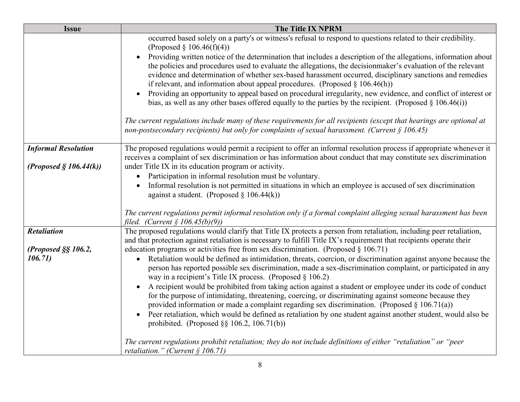| <b>Issue</b>                              | The Title IX NPRM                                                                                                                                                                                                                                                                                                                                                                                                                                                                                                                                                                                                                                                                                                                                                                                                                                                                                                                                                                                                                                        |
|-------------------------------------------|----------------------------------------------------------------------------------------------------------------------------------------------------------------------------------------------------------------------------------------------------------------------------------------------------------------------------------------------------------------------------------------------------------------------------------------------------------------------------------------------------------------------------------------------------------------------------------------------------------------------------------------------------------------------------------------------------------------------------------------------------------------------------------------------------------------------------------------------------------------------------------------------------------------------------------------------------------------------------------------------------------------------------------------------------------|
|                                           | occurred based solely on a party's or witness's refusal to respond to questions related to their credibility.<br>(Proposed § 106.46(f)(4))<br>Providing written notice of the determination that includes a description of the allegations, information about<br>$\bullet$<br>the policies and procedures used to evaluate the allegations, the decisionmaker's evaluation of the relevant<br>evidence and determination of whether sex-based harassment occurred, disciplinary sanctions and remedies<br>if relevant, and information about appeal procedures. (Proposed $\S 106.46(h)$ )<br>Providing an opportunity to appeal based on procedural irregularity, new evidence, and conflict of interest or<br>bias, as well as any other bases offered equally to the parties by the recipient. (Proposed $\S 106.46(i)$ )<br>The current regulations include many of these requirements for all recipients (except that hearings are optional at<br>non-postsecondary recipients) but only for complaints of sexual harassment. (Current $\S$ 106.45) |
| <b>Informal Resolution</b>                | The proposed regulations would permit a recipient to offer an informal resolution process if appropriate whenever it                                                                                                                                                                                                                                                                                                                                                                                                                                                                                                                                                                                                                                                                                                                                                                                                                                                                                                                                     |
|                                           | receives a complaint of sex discrimination or has information about conduct that may constitute sex discrimination                                                                                                                                                                                                                                                                                                                                                                                                                                                                                                                                                                                                                                                                                                                                                                                                                                                                                                                                       |
| (Proposed $\S$ 106.44(k))                 | under Title IX in its education program or activity.<br>Participation in informal resolution must be voluntary.<br>$\bullet$                                                                                                                                                                                                                                                                                                                                                                                                                                                                                                                                                                                                                                                                                                                                                                                                                                                                                                                             |
|                                           | Informal resolution is not permitted in situations in which an employee is accused of sex discrimination<br>against a student. (Proposed $\S 106.44(k)$ )                                                                                                                                                                                                                                                                                                                                                                                                                                                                                                                                                                                                                                                                                                                                                                                                                                                                                                |
|                                           | The current regulations permit informal resolution only if a formal complaint alleging sexual harassment has been<br>filed. (Current $\S$ 106.45(b)(9))                                                                                                                                                                                                                                                                                                                                                                                                                                                                                                                                                                                                                                                                                                                                                                                                                                                                                                  |
| <b>Retaliation</b><br>(Proposed §§ 106.2, | The proposed regulations would clarify that Title IX protects a person from retaliation, including peer retaliation,<br>and that protection against retaliation is necessary to fulfill Title IX's requirement that recipients operate their<br>education programs or activities free from sex discrimination. (Proposed $\S 106.71$ )                                                                                                                                                                                                                                                                                                                                                                                                                                                                                                                                                                                                                                                                                                                   |
| 106.71)                                   | • Retaliation would be defined as intimidation, threats, coercion, or discrimination against anyone because the<br>person has reported possible sex discrimination, made a sex-discrimination complaint, or participated in any<br>way in a recipient's Title IX process. (Proposed $\S 106.2$ )                                                                                                                                                                                                                                                                                                                                                                                                                                                                                                                                                                                                                                                                                                                                                         |
|                                           | A recipient would be prohibited from taking action against a student or employee under its code of conduct<br>$\bullet$<br>for the purpose of intimidating, threatening, coercing, or discriminating against someone because they<br>provided information or made a complaint regarding sex discrimination. (Proposed $\S 106.71(a)$ )<br>Peer retaliation, which would be defined as retaliation by one student against another student, would also be<br>prohibited. (Proposed $\S$ § 106.2, 106.71(b))                                                                                                                                                                                                                                                                                                                                                                                                                                                                                                                                                |
|                                           | The current regulations prohibit retaliation; they do not include definitions of either "retaliation" or "peer<br>retaliation." (Current $\S$ 106.71)                                                                                                                                                                                                                                                                                                                                                                                                                                                                                                                                                                                                                                                                                                                                                                                                                                                                                                    |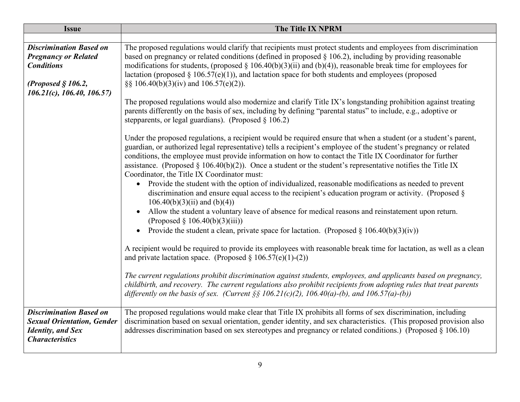| <b>Issue</b>                                                                                                                                      | <b>The Title IX NPRM</b>                                                                                                                                                                                                                                                                                                                                                                                                                                                                                                                                                                                                                                                                                                                                                                                                                                                                                                                                                                                                                                                                                                                                                                                                                                                                                                                  |
|---------------------------------------------------------------------------------------------------------------------------------------------------|-------------------------------------------------------------------------------------------------------------------------------------------------------------------------------------------------------------------------------------------------------------------------------------------------------------------------------------------------------------------------------------------------------------------------------------------------------------------------------------------------------------------------------------------------------------------------------------------------------------------------------------------------------------------------------------------------------------------------------------------------------------------------------------------------------------------------------------------------------------------------------------------------------------------------------------------------------------------------------------------------------------------------------------------------------------------------------------------------------------------------------------------------------------------------------------------------------------------------------------------------------------------------------------------------------------------------------------------|
|                                                                                                                                                   |                                                                                                                                                                                                                                                                                                                                                                                                                                                                                                                                                                                                                                                                                                                                                                                                                                                                                                                                                                                                                                                                                                                                                                                                                                                                                                                                           |
| <b>Discrimination Based on</b><br><b>Pregnancy or Related</b><br><b>Conditions</b><br>(Proposed $§$ 106.2,<br>$106.21(c)$ , $106.40$ , $106.57$ ) | The proposed regulations would clarify that recipients must protect students and employees from discrimination<br>based on pregnancy or related conditions (defined in proposed $\S$ 106.2), including by providing reasonable<br>modifications for students, (proposed $\S$ 106.40(b)(3)(ii) and (b)(4)), reasonable break time for employees for<br>lactation (proposed $\S 106.57(e)(1)$ ), and lactation space for both students and employees (proposed<br>§§ 106.40(b)(3)(iv) and 106.57(e)(2)).                                                                                                                                                                                                                                                                                                                                                                                                                                                                                                                                                                                                                                                                                                                                                                                                                                    |
|                                                                                                                                                   | The proposed regulations would also modernize and clarify Title IX's longstanding prohibition against treating<br>parents differently on the basis of sex, including by defining "parental status" to include, e.g., adoptive or<br>stepparents, or legal guardians). (Proposed $\S 106.2$ )                                                                                                                                                                                                                                                                                                                                                                                                                                                                                                                                                                                                                                                                                                                                                                                                                                                                                                                                                                                                                                              |
|                                                                                                                                                   | Under the proposed regulations, a recipient would be required ensure that when a student (or a student's parent,<br>guardian, or authorized legal representative) tells a recipient's employee of the student's pregnancy or related<br>conditions, the employee must provide information on how to contact the Title IX Coordinator for further<br>assistance. (Proposed $\S 106.40(b)(2)$ ). Once a student or the student's representative notifies the Title IX<br>Coordinator, the Title IX Coordinator must:<br>Provide the student with the option of individualized, reasonable modifications as needed to prevent<br>discrimination and ensure equal access to the recipient's education program or activity. (Proposed §<br>$106.40(b)(3)(ii)$ and $(b)(4))$<br>Allow the student a voluntary leave of absence for medical reasons and reinstatement upon return.<br>(Proposed $\S 106.40(b)(3)(iii)$ )<br>Provide the student a clean, private space for lactation. (Proposed $\S 106.40(b)(3)(iv)$ )<br>$\bullet$<br>A recipient would be required to provide its employees with reasonable break time for lactation, as well as a clean<br>and private lactation space. (Proposed $\S 106.57(e)(1)-(2)$ )<br>The current regulations prohibit discrimination against students, employees, and applicants based on pregnancy, |
|                                                                                                                                                   | childbirth, and recovery. The current regulations also prohibit recipients from adopting rules that treat parents<br>differently on the basis of sex. (Current §§ 106.21(c)(2), 106.40(a)-(b), and 106.57(a)-(b))                                                                                                                                                                                                                                                                                                                                                                                                                                                                                                                                                                                                                                                                                                                                                                                                                                                                                                                                                                                                                                                                                                                         |
| <b>Discrimination Based on</b><br><b>Sexual Orientation, Gender</b><br><b>Identity</b> , and Sex<br><b>Characteristics</b>                        | The proposed regulations would make clear that Title IX prohibits all forms of sex discrimination, including<br>discrimination based on sexual orientation, gender identity, and sex characteristics. (This proposed provision also<br>addresses discrimination based on sex stereotypes and pregnancy or related conditions.) (Proposed § 106.10)                                                                                                                                                                                                                                                                                                                                                                                                                                                                                                                                                                                                                                                                                                                                                                                                                                                                                                                                                                                        |